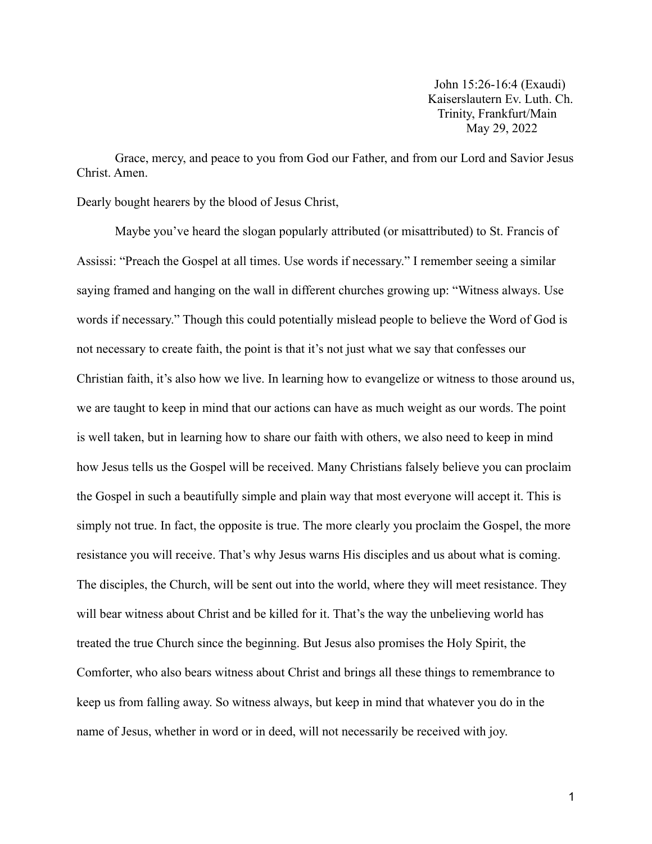John 15:26-16:4 (Exaudi) Kaiserslautern Ev. Luth. Ch. Trinity, Frankfurt/Main May 29, 2022

Grace, mercy, and peace to you from God our Father, and from our Lord and Savior Jesus Christ. Amen.

Dearly bought hearers by the blood of Jesus Christ,

Maybe you've heard the slogan popularly attributed (or misattributed) to St. Francis of Assissi: "Preach the Gospel at all times. Use words if necessary." I remember seeing a similar saying framed and hanging on the wall in different churches growing up: "Witness always. Use words if necessary." Though this could potentially mislead people to believe the Word of God is not necessary to create faith, the point is that it's not just what we say that confesses our Christian faith, it's also how we live. In learning how to evangelize or witness to those around us, we are taught to keep in mind that our actions can have as much weight as our words. The point is well taken, but in learning how to share our faith with others, we also need to keep in mind how Jesus tells us the Gospel will be received. Many Christians falsely believe you can proclaim the Gospel in such a beautifully simple and plain way that most everyone will accept it. This is simply not true. In fact, the opposite is true. The more clearly you proclaim the Gospel, the more resistance you will receive. That's why Jesus warns His disciples and us about what is coming. The disciples, the Church, will be sent out into the world, where they will meet resistance. They will bear witness about Christ and be killed for it. That's the way the unbelieving world has treated the true Church since the beginning. But Jesus also promises the Holy Spirit, the Comforter, who also bears witness about Christ and brings all these things to remembrance to keep us from falling away. So witness always, but keep in mind that whatever you do in the name of Jesus, whether in word or in deed, will not necessarily be received with joy.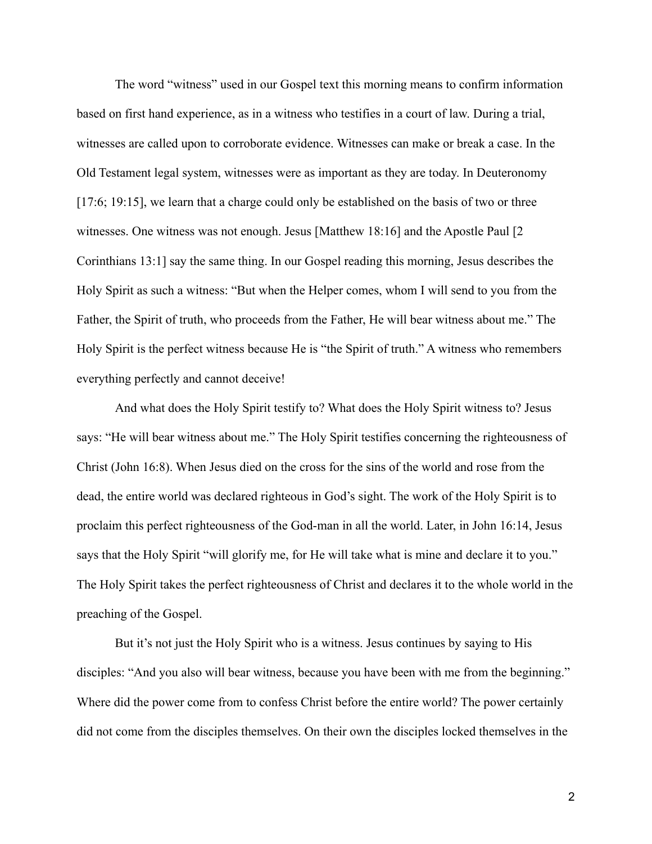The word "witness" used in our Gospel text this morning means to confirm information based on first hand experience, as in a witness who testifies in a court of law. During a trial, witnesses are called upon to corroborate evidence. Witnesses can make or break a case. In the Old Testament legal system, witnesses were as important as they are today. In Deuteronomy [17:6; 19:15], we learn that a charge could only be established on the basis of two or three witnesses. One witness was not enough. Jesus [Matthew 18:16] and the Apostle Paul [2 Corinthians 13:1] say the same thing. In our Gospel reading this morning, Jesus describes the Holy Spirit as such a witness: "But when the Helper comes, whom I will send to you from the Father, the Spirit of truth, who proceeds from the Father, He will bear witness about me." The Holy Spirit is the perfect witness because He is "the Spirit of truth." A witness who remembers everything perfectly and cannot deceive!

And what does the Holy Spirit testify to? What does the Holy Spirit witness to? Jesus says: "He will bear witness about me." The Holy Spirit testifies concerning the righteousness of Christ (John 16:8). When Jesus died on the cross for the sins of the world and rose from the dead, the entire world was declared righteous in God's sight. The work of the Holy Spirit is to proclaim this perfect righteousness of the God-man in all the world. Later, in John 16:14, Jesus says that the Holy Spirit "will glorify me, for He will take what is mine and declare it to you." The Holy Spirit takes the perfect righteousness of Christ and declares it to the whole world in the preaching of the Gospel.

But it's not just the Holy Spirit who is a witness. Jesus continues by saying to His disciples: "And you also will bear witness, because you have been with me from the beginning." Where did the power come from to confess Christ before the entire world? The power certainly did not come from the disciples themselves. On their own the disciples locked themselves in the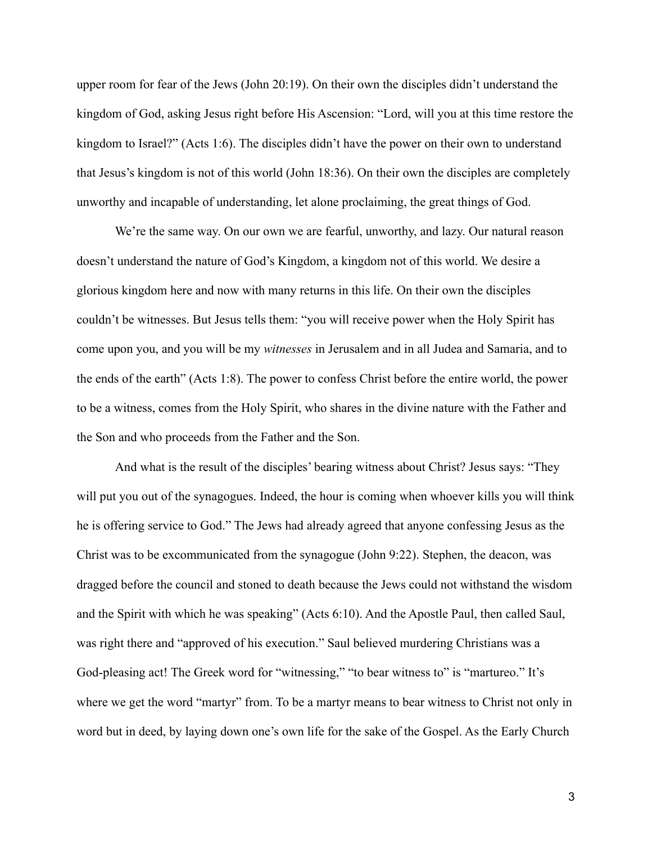upper room for fear of the Jews (John 20:19). On their own the disciples didn't understand the kingdom of God, asking Jesus right before His Ascension: "Lord, will you at this time restore the kingdom to Israel?" (Acts 1:6). The disciples didn't have the power on their own to understand that Jesus's kingdom is not of this world (John 18:36). On their own the disciples are completely unworthy and incapable of understanding, let alone proclaiming, the great things of God.

We're the same way. On our own we are fearful, unworthy, and lazy. Our natural reason doesn't understand the nature of God's Kingdom, a kingdom not of this world. We desire a glorious kingdom here and now with many returns in this life. On their own the disciples couldn't be witnesses. But Jesus tells them: "you will receive power when the Holy Spirit has come upon you, and you will be my *witnesses* in Jerusalem and in all Judea and Samaria, and to the ends of the earth" (Acts 1:8). The power to confess Christ before the entire world, the power to be a witness, comes from the Holy Spirit, who shares in the divine nature with the Father and the Son and who proceeds from the Father and the Son.

And what is the result of the disciples' bearing witness about Christ? Jesus says: "They will put you out of the synagogues. Indeed, the hour is coming when whoever kills you will think he is offering service to God." The Jews had already agreed that anyone confessing Jesus as the Christ was to be excommunicated from the synagogue (John 9:22). Stephen, the deacon, was dragged before the council and stoned to death because the Jews could not withstand the wisdom and the Spirit with which he was speaking" (Acts 6:10). And the Apostle Paul, then called Saul, was right there and "approved of his execution." Saul believed murdering Christians was a God-pleasing act! The Greek word for "witnessing," "to bear witness to" is "martureo." It's where we get the word "martyr" from. To be a martyr means to bear witness to Christ not only in word but in deed, by laying down one's own life for the sake of the Gospel. As the Early Church

3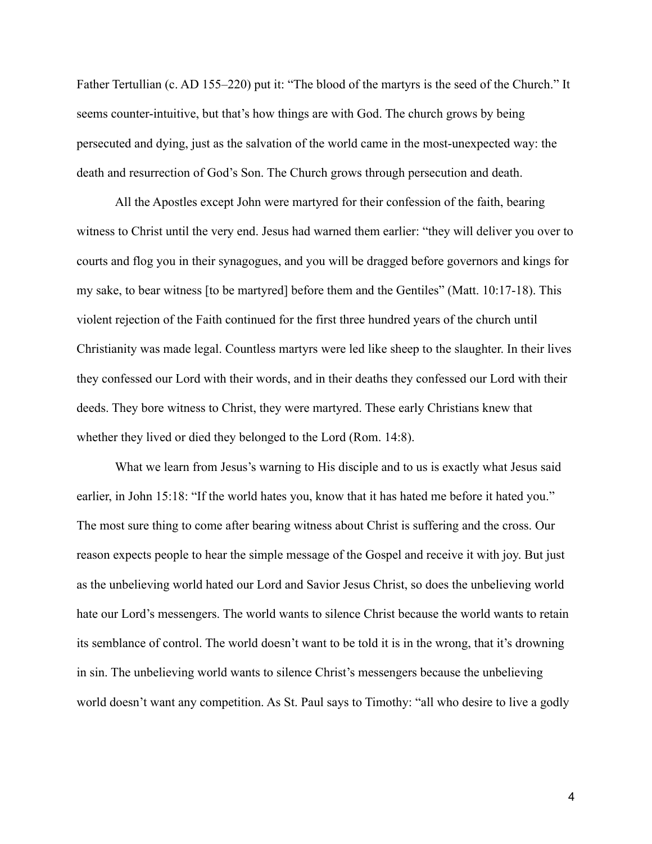Father Tertullian (c. AD 155–220) put it: "The blood of the martyrs is the seed of the Church." It seems counter-intuitive, but that's how things are with God. The church grows by being persecuted and dying, just as the salvation of the world came in the most-unexpected way: the death and resurrection of God's Son. The Church grows through persecution and death.

All the Apostles except John were martyred for their confession of the faith, bearing witness to Christ until the very end. Jesus had warned them earlier: "they will deliver you over to courts and flog you in their synagogues, and you will be dragged before governors and kings for my sake, to bear witness [to be martyred] before them and the Gentiles" (Matt. 10:17-18). This violent rejection of the Faith continued for the first three hundred years of the church until Christianity was made legal. Countless martyrs were led like sheep to the slaughter. In their lives they confessed our Lord with their words, and in their deaths they confessed our Lord with their deeds. They bore witness to Christ, they were martyred. These early Christians knew that whether they lived or died they belonged to the Lord (Rom. 14:8).

What we learn from Jesus's warning to His disciple and to us is exactly what Jesus said earlier, in John 15:18: "If the world hates you, know that it has hated me before it hated you." The most sure thing to come after bearing witness about Christ is suffering and the cross. Our reason expects people to hear the simple message of the Gospel and receive it with joy. But just as the unbelieving world hated our Lord and Savior Jesus Christ, so does the unbelieving world hate our Lord's messengers. The world wants to silence Christ because the world wants to retain its semblance of control. The world doesn't want to be told it is in the wrong, that it's drowning in sin. The unbelieving world wants to silence Christ's messengers because the unbelieving world doesn't want any competition. As St. Paul says to Timothy: "all who desire to live a godly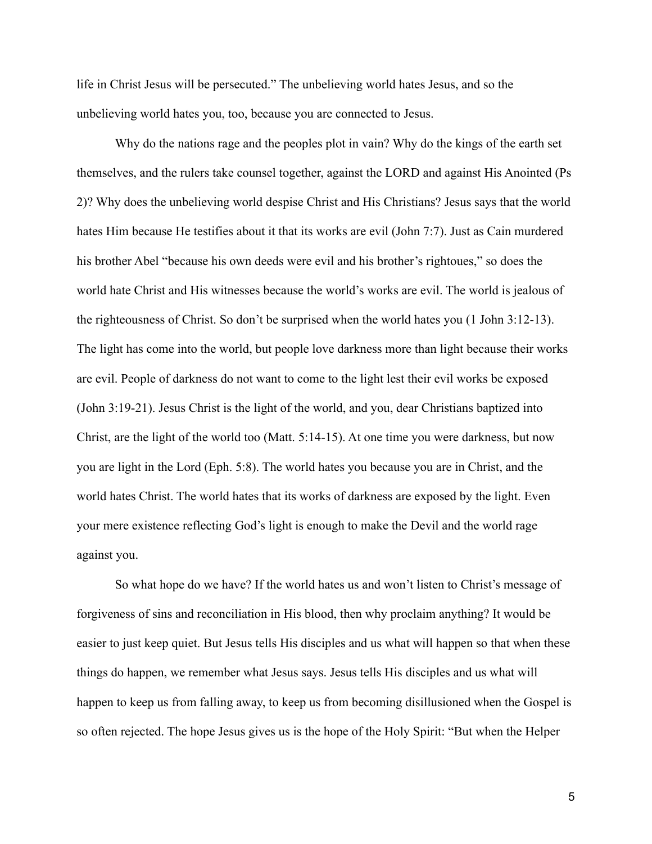life in Christ Jesus will be persecuted." The unbelieving world hates Jesus, and so the unbelieving world hates you, too, because you are connected to Jesus.

Why do the nations rage and the peoples plot in vain? Why do the kings of the earth set themselves, and the rulers take counsel together, against the LORD and against His Anointed (Ps 2)? Why does the unbelieving world despise Christ and His Christians? Jesus says that the world hates Him because He testifies about it that its works are evil (John 7:7). Just as Cain murdered his brother Abel "because his own deeds were evil and his brother's rightoues," so does the world hate Christ and His witnesses because the world's works are evil. The world is jealous of the righteousness of Christ. So don't be surprised when the world hates you (1 John 3:12-13). The light has come into the world, but people love darkness more than light because their works are evil. People of darkness do not want to come to the light lest their evil works be exposed (John 3:19-21). Jesus Christ is the light of the world, and you, dear Christians baptized into Christ, are the light of the world too (Matt. 5:14-15). At one time you were darkness, but now you are light in the Lord (Eph. 5:8). The world hates you because you are in Christ, and the world hates Christ. The world hates that its works of darkness are exposed by the light. Even your mere existence reflecting God's light is enough to make the Devil and the world rage against you.

So what hope do we have? If the world hates us and won't listen to Christ's message of forgiveness of sins and reconciliation in His blood, then why proclaim anything? It would be easier to just keep quiet. But Jesus tells His disciples and us what will happen so that when these things do happen, we remember what Jesus says. Jesus tells His disciples and us what will happen to keep us from falling away, to keep us from becoming disillusioned when the Gospel is so often rejected. The hope Jesus gives us is the hope of the Holy Spirit: "But when the Helper

5